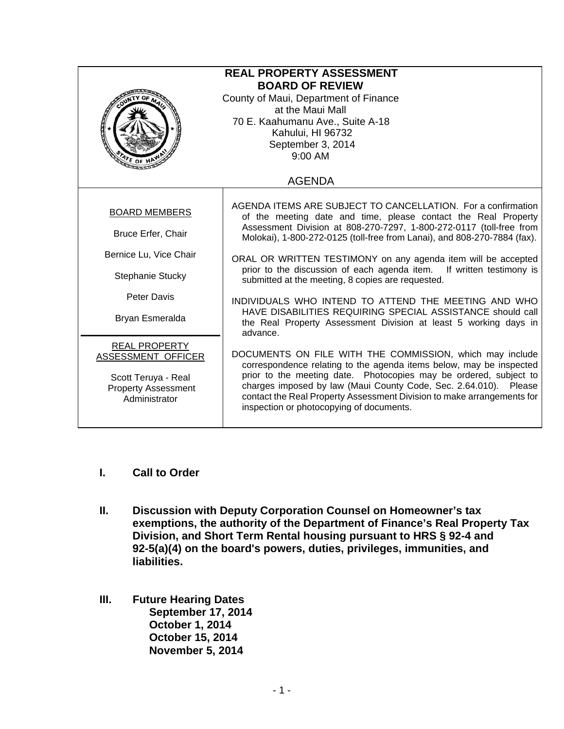| <b>REAL PROPERTY ASSESSMENT</b><br><b>BOARD OF REVIEW</b><br>County of Maui, Department of Finance<br>at the Maui Mall<br>70 E. Kaahumanu Ave., Suite A-18<br>Kahului, HI 96732<br>September 3, 2014<br>9:00 AM |                                                                                                                                                                                                                                                                                                                                                                                                |  |
|-----------------------------------------------------------------------------------------------------------------------------------------------------------------------------------------------------------------|------------------------------------------------------------------------------------------------------------------------------------------------------------------------------------------------------------------------------------------------------------------------------------------------------------------------------------------------------------------------------------------------|--|
|                                                                                                                                                                                                                 | <b>AGENDA</b>                                                                                                                                                                                                                                                                                                                                                                                  |  |
| <b>BOARD MEMBERS</b><br>Bruce Erfer, Chair                                                                                                                                                                      | AGENDA ITEMS ARE SUBJECT TO CANCELLATION. For a confirmation<br>of the meeting date and time, please contact the Real Property<br>Assessment Division at 808-270-7297, 1-800-272-0117 (toll-free from<br>Molokai), 1-800-272-0125 (toll-free from Lanai), and 808-270-7884 (fax).                                                                                                              |  |
| Bernice Lu, Vice Chair<br>Stephanie Stucky                                                                                                                                                                      | ORAL OR WRITTEN TESTIMONY on any agenda item will be accepted<br>prior to the discussion of each agenda item. If written testimony is<br>submitted at the meeting, 8 copies are requested.                                                                                                                                                                                                     |  |
| Peter Davis<br>Bryan Esmeralda                                                                                                                                                                                  | INDIVIDUALS WHO INTEND TO ATTEND THE MEETING AND WHO<br>HAVE DISABILITIES REQUIRING SPECIAL ASSISTANCE should call<br>the Real Property Assessment Division at least 5 working days in<br>advance.                                                                                                                                                                                             |  |
| <b>REAL PROPERTY</b><br>ASSESSMENT OFFICER<br>Scott Teruya - Real<br><b>Property Assessment</b><br>Administrator                                                                                                | DOCUMENTS ON FILE WITH THE COMMISSION, which may include<br>correspondence relating to the agenda items below, may be inspected<br>prior to the meeting date. Photocopies may be ordered, subject to<br>charges imposed by law (Maui County Code, Sec. 2.64.010). Please<br>contact the Real Property Assessment Division to make arrangements for<br>inspection or photocopying of documents. |  |

- **I. Call to Order**
- **II. Discussion with Deputy Corporation Counsel on Homeowner's tax exemptions, the authority of the Department of Finance's Real Property Tax Division, and Short Term Rental housing pursuant to HRS § 92-4 and 92-5(a)(4) on the board's powers, duties, privileges, immunities, and liabilities.**
- **III. Future Hearing Dates September 17, 2014 October 1, 2014 October 15, 2014 November 5, 2014**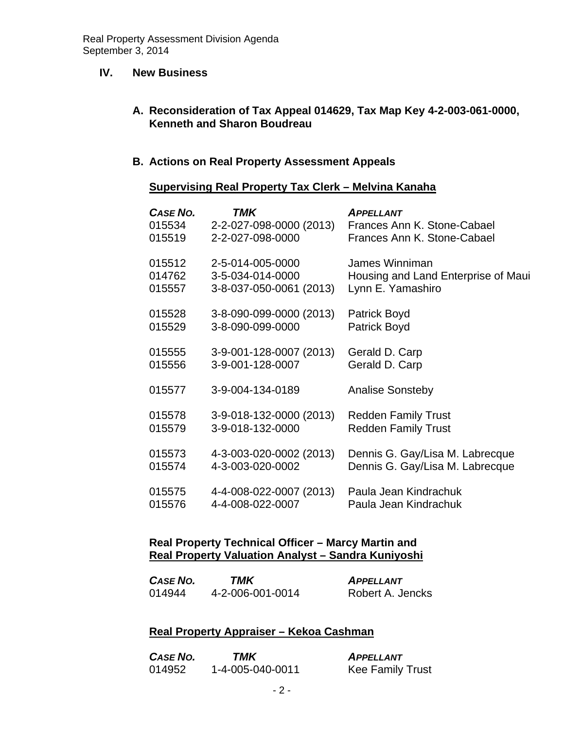### **IV. New Business**

### **A. Reconsideration of Tax Appeal 014629, Tax Map Key 4-2-003-061-0000, Kenneth and Sharon Boudreau**

### **B. Actions on Real Property Assessment Appeals**

### **Supervising Real Property Tax Clerk – Melvina Kanaha**

| CASE NO. | TMK                     | <b>APPELLANT</b>                    |
|----------|-------------------------|-------------------------------------|
| 015534   | 2-2-027-098-0000 (2013) | Frances Ann K. Stone-Cabael         |
| 015519   | 2-2-027-098-0000        | Frances Ann K. Stone-Cabael         |
| 015512   | 2-5-014-005-0000        | James Winniman                      |
| 014762   | 3-5-034-014-0000        | Housing and Land Enterprise of Maui |
| 015557   | 3-8-037-050-0061 (2013) | Lynn E. Yamashiro                   |
| 015528   | 3-8-090-099-0000 (2013) | <b>Patrick Boyd</b>                 |
| 015529   | 3-8-090-099-0000        | Patrick Boyd                        |
| 015555   | 3-9-001-128-0007 (2013) | Gerald D. Carp                      |
| 015556   | 3-9-001-128-0007        | Gerald D. Carp                      |
| 015577   | 3-9-004-134-0189        | <b>Analise Sonsteby</b>             |
| 015578   | 3-9-018-132-0000 (2013) | <b>Redden Family Trust</b>          |
| 015579   | 3-9-018-132-0000        | <b>Redden Family Trust</b>          |
| 015573   | 4-3-003-020-0002 (2013) | Dennis G. Gay/Lisa M. Labrecque     |
| 015574   | 4-3-003-020-0002        | Dennis G. Gay/Lisa M. Labrecque     |
| 015575   | 4-4-008-022-0007 (2013) | Paula Jean Kindrachuk               |
| 015576   | 4-4-008-022-0007        | Paula Jean Kindrachuk               |

### **Real Property Technical Officer – Marcy Martin and Real Property Valuation Analyst – Sandra Kuniyoshi**

| CASE NO. | TMK              | APPELLANT        |
|----------|------------------|------------------|
| 014944   | 4-2-006-001-0014 | Robert A. Jencks |

### **Real Property Appraiser – Kekoa Cashman**

| CASE NO. | TMK              | <b>APPELLANT</b>        |
|----------|------------------|-------------------------|
| 014952   | 1-4-005-040-0011 | <b>Kee Family Trust</b> |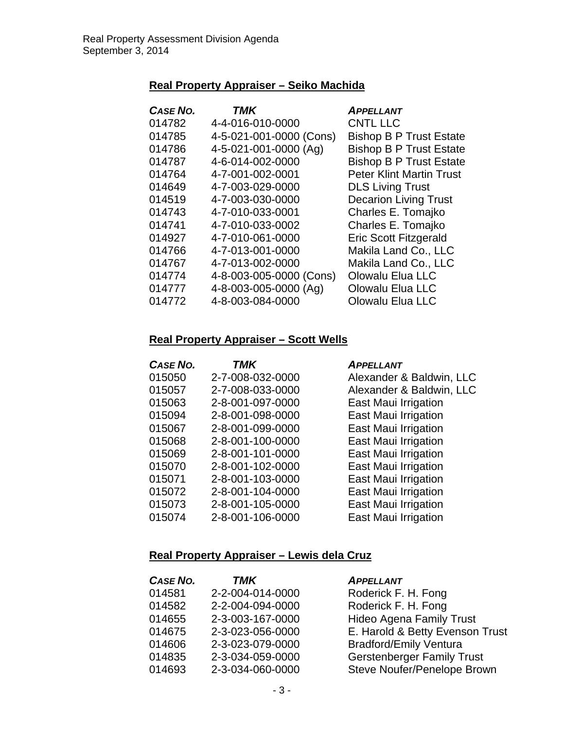## **Real Property Appraiser – Seiko Machida**

| <b>CASE NO.</b> | <b>TMK</b>              | <b>APPELLANT</b>                |
|-----------------|-------------------------|---------------------------------|
| 014782          | 4-4-016-010-0000        | <b>CNTL LLC</b>                 |
| 014785          | 4-5-021-001-0000 (Cons) | <b>Bishop B P Trust Estate</b>  |
| 014786          | 4-5-021-001-0000 (Ag)   | <b>Bishop B P Trust Estate</b>  |
| 014787          | 4-6-014-002-0000        | <b>Bishop B P Trust Estate</b>  |
| 014764          | 4-7-001-002-0001        | <b>Peter Klint Martin Trust</b> |
| 014649          | 4-7-003-029-0000        | <b>DLS Living Trust</b>         |
| 014519          | 4-7-003-030-0000        | <b>Decarion Living Trust</b>    |
| 014743          | 4-7-010-033-0001        | Charles E. Tomajko              |
| 014741          | 4-7-010-033-0002        | Charles E. Tomajko              |
| 014927          | 4-7-010-061-0000        | <b>Eric Scott Fitzgerald</b>    |
| 014766          | 4-7-013-001-0000        | Makila Land Co., LLC            |
| 014767          | 4-7-013-002-0000        | Makila Land Co., LLC            |
| 014774          | 4-8-003-005-0000 (Cons) | <b>Olowalu Elua LLC</b>         |
| 014777          | 4-8-003-005-0000 (Ag)   | <b>Olowalu Elua LLC</b>         |
| 014772          | 4-8-003-084-0000        | <b>Olowalu Elua LLC</b>         |

### **Real Property Appraiser – Scott Wells**

| <b>CASE NO.</b> | TMK              | <b>APPELLANT</b>         |
|-----------------|------------------|--------------------------|
| 015050          | 2-7-008-032-0000 | Alexander & Baldwin, LLC |
| 015057          | 2-7-008-033-0000 | Alexander & Baldwin, LLC |
| 015063          | 2-8-001-097-0000 | East Maui Irrigation     |
| 015094          | 2-8-001-098-0000 | East Maui Irrigation     |
| 015067          | 2-8-001-099-0000 | East Maui Irrigation     |
| 015068          | 2-8-001-100-0000 | East Maui Irrigation     |
| 015069          | 2-8-001-101-0000 | East Maui Irrigation     |
| 015070          | 2-8-001-102-0000 | East Maui Irrigation     |
| 015071          | 2-8-001-103-0000 | East Maui Irrigation     |
| 015072          | 2-8-001-104-0000 | East Maui Irrigation     |
| 015073          | 2-8-001-105-0000 | East Maui Irrigation     |
| 015074          | 2-8-001-106-0000 | East Maui Irrigation     |

# **Real Property Appraiser – Lewis dela Cruz**

| <b>CASE NO.</b> | <b>TMK</b>       | <b>APPELLANT</b>                  |
|-----------------|------------------|-----------------------------------|
| 014581          | 2-2-004-014-0000 | Roderick F. H. Fong               |
| 014582          | 2-2-004-094-0000 | Roderick F. H. Fong               |
| 014655          | 2-3-003-167-0000 | <b>Hideo Agena Family Trust</b>   |
| 014675          | 2-3-023-056-0000 | E. Harold & Betty Evenson Trust   |
| 014606          | 2-3-023-079-0000 | <b>Bradford/Emily Ventura</b>     |
| 014835          | 2-3-034-059-0000 | <b>Gerstenberger Family Trust</b> |
| 014693          | 2-3-034-060-0000 | Steve Noufer/Penelope Brown       |